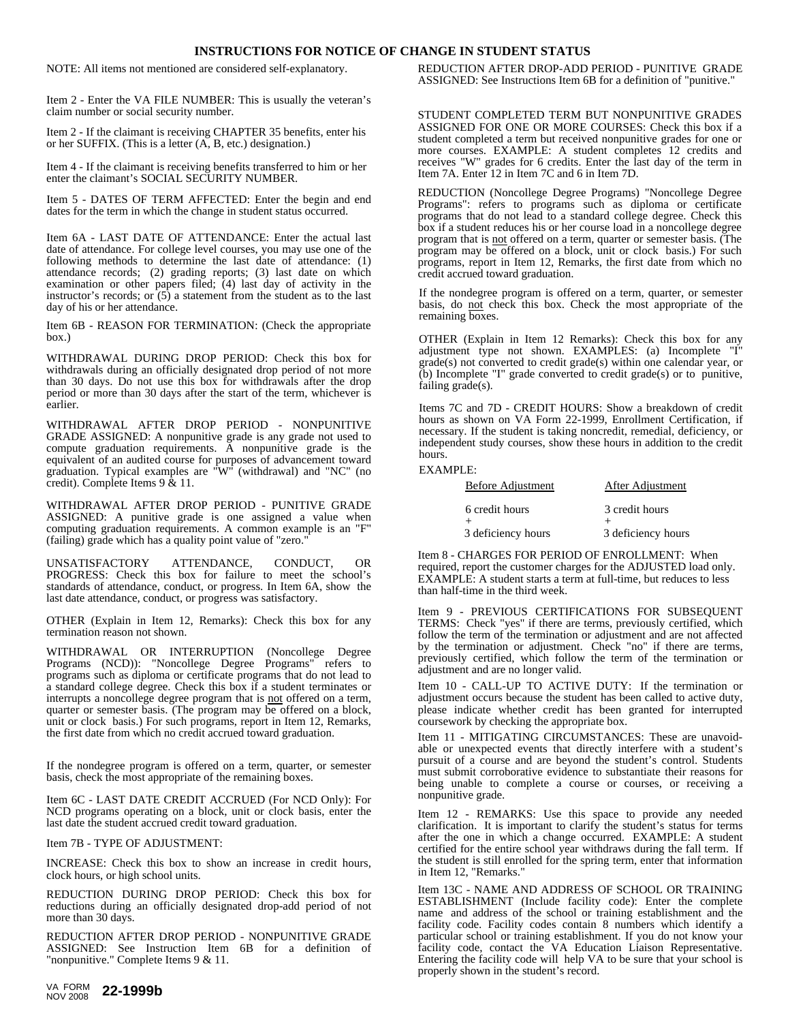## **INSTRUCTIONS FOR NOTICE OF CHANGE IN STUDENT STATUS**

NOTE: All items not mentioned are considered self-explanatory.

Item 2 - Enter the VA FILE NUMBER: This is usually the veteran's claim number or social security number.

Item 2 - If the claimant is receiving CHAPTER 35 benefits, enter his or her SUFFIX. (This is a letter (A, B, etc.) designation.)

Item 4 - If the claimant is receiving benefits transferred to him or her enter the claimant's SOCIAL SECURITY NUMBER.

Item 5 - DATES OF TERM AFFECTED: Enter the begin and end dates for the term in which the change in student status occurred.

Item 6A - LAST DATE OF ATTENDANCE: Enter the actual last date of attendance. For college level courses, you may use one of the following methods to determine the last date of attendance:  $(1)$ attendance records; (2) grading reports; (3) last date on which examination or other papers filed; (4) last day of activity in the instructor's records; or  $(5)$  a statement from the student as to the last day of his or her attendance.

Item 6B- REASON FOR TERMINATION: (Check the appropriate box.)

WITHDRAWAL DURING DROP PERIOD: Check this box for withdrawals during an officially designated drop period of not more than 30 days. Do not use this box for withdrawals after the drop period or more than 30 days after the start of the term, whichever is earlier.

WITHDRAWAL AFTER DROP PERIOD - NONPUNITIVE GRADE ASSIGNED: A nonpunitive grade is any grade not used to compute graduation requirements. A nonpunitive grade is the equivalent of an audited course for purposes of advancement toward graduation. Typical examples are "W" (withdrawal) and "NC" (no credit). Complete Items 9 & 11.

WITHDRAWAL AFTER DROP PERIOD - PUNITIVE GRADE ASSIGNED: A punitive grade is one assigned a value when computing graduation requirements. A common example is an "F" (failing) grade which has a quality point value of "zero."

UNSATISFACTORY ATTENDANCE, CONDUCT, OR PROGRESS: Check this box for failure to meet the school's standards of attendance, conduct, or progress. In Item 6A, show the last date attendance, conduct, or progress was satisfactory.

OTHER (Explain in Item 12, Remarks): Check this box for any termination reason not shown.

WITHDRAWAL OR INTERRUPTION (Noncollege Degree Programs (NCD)): "Noncollege Degree Programs" refers to programs such as diploma or certificate programs that do not lead to a standard college degree. Check this box if a student terminates or interrupts a noncollege degree program that is not offered on aterm, quarter or semester basis. (The program may be offered on a block, unit or clock basis.) For such programs, report in Item 12, Remarks, the first date from which no credit accrued toward graduation.

If the nondegree program is offered on a term, quarter, or semester basis, check the most appropriate of the remaining boxes.

Item 6C- LAST DATE CREDIT ACCRUED (For NCD Only): For NCD programs operating on a block, unit or clock basis, enter the last date the student accrued credit toward graduation.

Item 7B - TYPE OF ADJUSTMENT:

INCREASE: Check this box to show an increase in credit hours, clock hours, or high school units.

REDUCTION DURING DROP PERIOD: Check this box for reductions during an officially designated drop-add period of not more than 30 days.

REDUCTION AFTER DROP PERIOD - NONPUNITIVE GRADE ASSIGNED: See Instruction Item 6B for a definition of "nonpunitive." Complete Items 9 & 11.

REDUCTION AFTER DROP-ADD PERIOD - PUNITIVE GRADE ASSIGNED: See Instructions Item 6B for a definition of "punitive."

STUDENT COMPLETED TERM BUT NONPUNITIVE GRADES ASSIGNED FOR ONE OR MORE COURSES: Check this box if a student completed a term but received nonpunitive grades for one or more courses. EXAMPLE: A student completes 12 credits and receives "W" grades for 6 credits. Enter the last day of the term in Item 7A. Enter 12 in Item 7C and 6 in Item 7D.

REDUCTION (Noncollege Degree Programs) "Noncollege Degree Programs": refers to programs such as diploma or certificate programs that do not lead to a standard college degree. Check this box if a student reduces his or her course load in a noncollege degree program that is not offered on aterm, quarter or semester basis. (The program may be offered on a block, unit or clock basis.) For such programs, report in Item 12, Remarks, the first date from which no credit accrued toward graduation.

If the nondegree program is offered on a term,quarter, or semester basis, do not check this box. Check the most appropriate of the remaining boxes.

OTHER (Explain in Item 12 Remarks): Check this box for any adjustment type not shown. EXAMPLES: (a) Incomplete "I" grade(s) not converted to credit grade(s) within one calendar year, or (b) Incomplete "I" grade converted to credit grade(s) or to punitive, failing grade(s).

Items 7C and 7D - CREDIT HOURS: Show a breakdown of credit hours as shown on VA Form 22-1999, Enrollment Certification, if necessary. If the student is taking noncredit, remedial, deficiency, or independent study courses, show these hours in addition to the credit hours.

## EXAMPLE:

| Before Adjustment  | After Adjustment   |
|--------------------|--------------------|
| 6 credit hours     | 3 credit hours     |
| 3 deficiency hours | 3 deficiency hours |

Item 8 - CHARGES FOR PERIOD OF ENROLLMENT: When required, report the customer charges for the ADJUSTED load only. EXAMPLE: A student starts a term at full-time, but reduces to less than half-time in the third week.

Item 9 - PREVIOUS CERTIFICATIONS FOR SUBSEQUENT TERMS: Check "yes" if there are terms, previously certified, which follow the term of the termination or adjustment and are not affected by the termination or adjustment. Check "no" if there are terms, previously certified, which follow the term of the termination or adjustment and are no longer valid.

Item 10 - CALL-UP TO ACTIVE DUTY: If the termination or adjustment occurs because the student has been called to active duty, please indicate whether credit has been granted for interrupted coursework by checking the appropriate box.

Item 11 - MITIGATING CIRCUMSTANCES: These are unavoidable or unexpected events that directly interfere with a student's pursuit of a course and are beyond the student's control. Students must submit corroborative evidence to substantiate their reasons for being unable to complete a course or courses, or receiving a nonpunitive grade.

Item 12 - REMARKS: Use this space to provide any needed clarification. It is important to clarify the student's status for terms after the one in which a change occurred. EXAMPLE: A student certified for the entire school year withdraws during the fall term. If the student is still enrolled for the spring term, enter that information in Item 12, "Remarks."

Item 13C - NAME AND ADDRESS OF SCHOOL OR TRAINING ESTABLISHMENT (Include facility code): Enter the complete name and address of the school or training establishment and the facility code. Facility codes contain 8 numbers which identify a particular school or training establishment. If you do not know your facility code, contact the VA Education Liaison Representative. Entering the facility code will help VA to be sure that your school is properly shown in the student's record.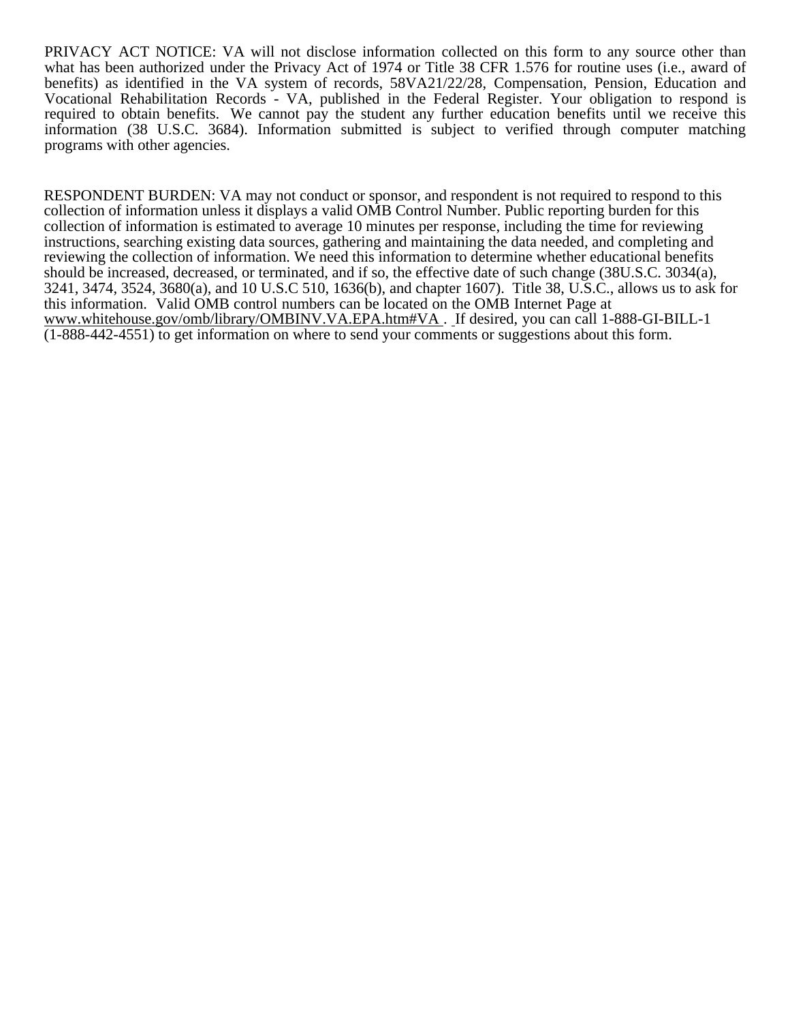PRIVACY ACT NOTICE: VA will not disclose information collected on this form to any source other than what has been authorized under the Privacy Act of 1974 or Title 38 CFR 1.576 for routine uses (i.e., award of benefits) as identified in the VA system of records, 58VA21/22/28, Compensation, Pension, Education and Vocational Rehabilitation Records - VA, published in the Federal Register. Your obligation to respond is required to obtain benefits. We cannot pay the student any further education benefits until we receive this information (38 U.S.C.3684). Information submitted is subject to verified through computer matching programs with other agencies.

RESPONDENT BURDEN: VA may not conduct or sponsor, and respondent is not required to respond to this collection of information unless it displays a valid OMB Control Number. Public reporting burden for this collection of information is estimated to average 10 minutes per response, including the time for reviewing instructions, searching existing data sources, gathering and maintaining the data needed, and completing and reviewing the collection of information. We need this information to determine whether educational benefits should be increased, decreased, or terminated, and if so, the effective date of such change (38U.S.C. 3034(a), 3241, 3474, 3524, 3680(a), and 10 U.S.C 510, 1636(b), and chapter 1607). Title 38, U.S.C., allows us to ask for this information. Valid OMB control numbers can be located on the OMB Internet Page at www.whitehouse.gov/omb/library/OMBINV.VA.EPA.htm#VA . If desired, you can call 1-888-GI-BILL-1 (1-888-442-4551) to get information on where to send your comments or suggestions about this form.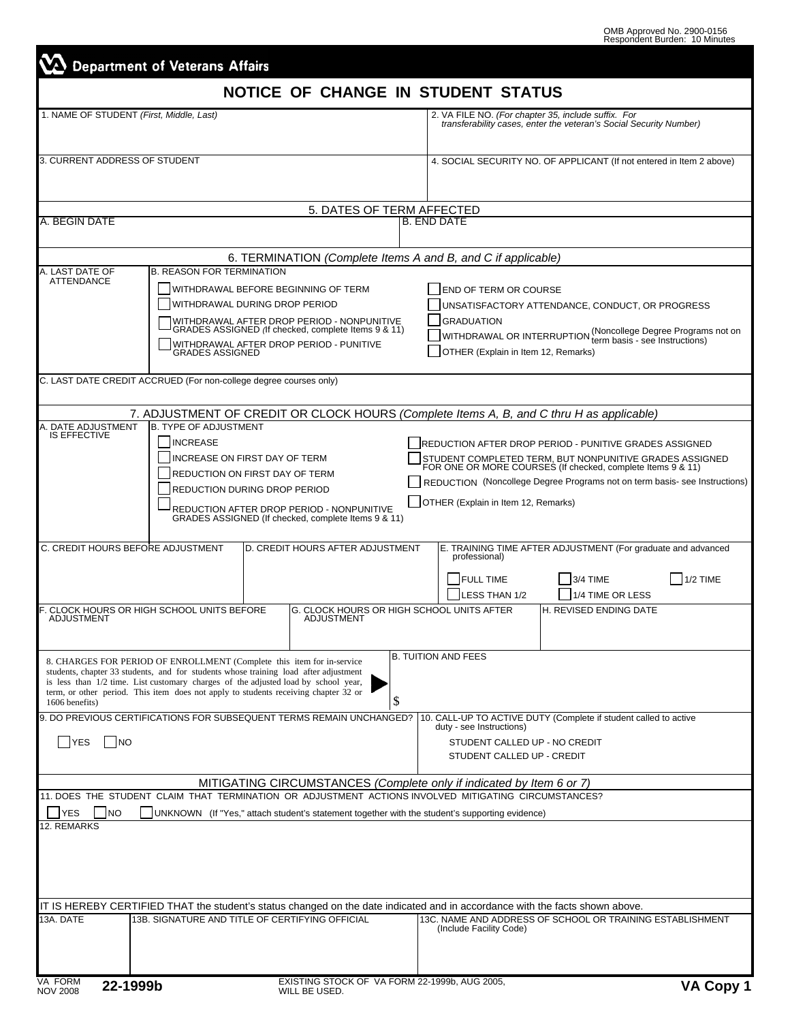|                                                                                            | <b>Department of Veterans Affairs</b>                             |                                                                                                                                                                                                                                                                                                                                               |                                                                                                                                                             |                                                                                                                                                                                                                                                                                                    |                                                              |                                                                                                 |
|--------------------------------------------------------------------------------------------|-------------------------------------------------------------------|-----------------------------------------------------------------------------------------------------------------------------------------------------------------------------------------------------------------------------------------------------------------------------------------------------------------------------------------------|-------------------------------------------------------------------------------------------------------------------------------------------------------------|----------------------------------------------------------------------------------------------------------------------------------------------------------------------------------------------------------------------------------------------------------------------------------------------------|--------------------------------------------------------------|-------------------------------------------------------------------------------------------------|
|                                                                                            |                                                                   |                                                                                                                                                                                                                                                                                                                                               |                                                                                                                                                             | NOTICE OF CHANGE IN STUDENT STATUS                                                                                                                                                                                                                                                                 |                                                              |                                                                                                 |
|                                                                                            | 1. NAME OF STUDENT (First, Middle, Last)                          |                                                                                                                                                                                                                                                                                                                                               | 2. VA FILE NO. (For chapter 35, include suffix. For<br>transferability cases, enter the veteran's Social Security Number)                                   |                                                                                                                                                                                                                                                                                                    |                                                              |                                                                                                 |
| 3. CURRENT ADDRESS OF STUDENT                                                              |                                                                   |                                                                                                                                                                                                                                                                                                                                               | 4. SOCIAL SECURITY NO. OF APPLICANT (If not entered in Item 2 above)                                                                                        |                                                                                                                                                                                                                                                                                                    |                                                              |                                                                                                 |
|                                                                                            |                                                                   |                                                                                                                                                                                                                                                                                                                                               |                                                                                                                                                             |                                                                                                                                                                                                                                                                                                    |                                                              |                                                                                                 |
| A. BEGIN DATE                                                                              |                                                                   |                                                                                                                                                                                                                                                                                                                                               | 5. DATES OF TERM AFFECTED                                                                                                                                   | <b>B. END DATE</b>                                                                                                                                                                                                                                                                                 |                                                              |                                                                                                 |
|                                                                                            |                                                                   |                                                                                                                                                                                                                                                                                                                                               |                                                                                                                                                             |                                                                                                                                                                                                                                                                                                    |                                                              |                                                                                                 |
|                                                                                            |                                                                   |                                                                                                                                                                                                                                                                                                                                               |                                                                                                                                                             | 6. TERMINATION (Complete Items A and B, and C if applicable)                                                                                                                                                                                                                                       |                                                              |                                                                                                 |
| A. LAST DATE OF<br><b>ATTENDANCE</b>                                                       | <b>B. REASON FOR TERMINATION</b>                                  | WITHDRAWAL BEFORE BEGINNING OF TERM<br>WITHDRAWAL DURING DROP PERIOD<br>WITHDRAWAL AFTER DROP PERIOD - NONPUNITIVE<br>GRADES ASSIGNED (If checked, complete Items 9 & 11)<br>WITHDRAWAL AFTER DROP PERIOD - PUNITIVE                                                                                                                          |                                                                                                                                                             | END OF TERM OR COURSE<br><b>GRADUATION</b>                                                                                                                                                                                                                                                         | JNSATISFACTORY ATTENDANCE, CONDUCT, OR PROGRESS              | WITHDRAWAL OR INTERRUPTION (Noncollege Degree Programs not on<br>term basis - see Instructions) |
|                                                                                            | <b>GRADES ASSIGNED</b>                                            |                                                                                                                                                                                                                                                                                                                                               |                                                                                                                                                             | OTHER (Explain in Item 12, Remarks)                                                                                                                                                                                                                                                                |                                                              |                                                                                                 |
|                                                                                            | C. LAST DATE CREDIT ACCRUED (For non-college degree courses only) |                                                                                                                                                                                                                                                                                                                                               |                                                                                                                                                             |                                                                                                                                                                                                                                                                                                    |                                                              |                                                                                                 |
|                                                                                            |                                                                   |                                                                                                                                                                                                                                                                                                                                               |                                                                                                                                                             |                                                                                                                                                                                                                                                                                                    |                                                              |                                                                                                 |
| A. DATE ADJUSTMENT                                                                         | <b>B. TYPE OF ADJUSTMENT</b>                                      |                                                                                                                                                                                                                                                                                                                                               |                                                                                                                                                             | 7. ADJUSTMENT OF CREDIT OR CLOCK HOURS (Complete Items A, B, and C thru H as applicable)                                                                                                                                                                                                           |                                                              |                                                                                                 |
| <b>IS EFFECTIVE</b>                                                                        | <b>INCREASE</b>                                                   | INCREASE ON FIRST DAY OF TERM<br><b>REDUCTION ON FIRST DAY OF TERM</b><br><b>REDUCTION DURING DROP PERIOD</b><br>REDUCTION AFTER DROP PERIOD - NONPUNITIVE<br>GRADES ASSIGNED (If checked, complete Items 9 & 11)                                                                                                                             |                                                                                                                                                             | REDUCTION AFTER DROP PERIOD - PUNITIVE GRADES ASSIGNED<br>STUDENT COMPLETED TERM, BUT NONPUNITIVE GRADES ASSIGNED FOR ONE OR MORE COURSES (If checked, complete Items 9 & 11)<br>REDUCTION (Noncollege Degree Programs not on term basis- see Instructions)<br>OTHER (Explain in Item 12, Remarks) |                                                              |                                                                                                 |
| C. CREDIT HOURS BEFORE ADJUSTMENT                                                          |                                                                   | D. CREDIT HOURS AFTER ADJUSTMENT                                                                                                                                                                                                                                                                                                              |                                                                                                                                                             | professional)                                                                                                                                                                                                                                                                                      | E. TRAINING TIME AFTER ADJUSTMENT (For graduate and advanced |                                                                                                 |
|                                                                                            |                                                                   |                                                                                                                                                                                                                                                                                                                                               |                                                                                                                                                             | <b>FULL TIME</b><br><b>LESS THAN 1/2</b>                                                                                                                                                                                                                                                           | 3/4 TIME<br>1/4 TIME OR LESS                                 | 1/2 TIME                                                                                        |
| <b>ADJUSTMENT</b>                                                                          | F. CLOCK HOURS OR HIGH SCHOOL UNITS BEFORE                        | <b>ADJUSTMENT</b>                                                                                                                                                                                                                                                                                                                             |                                                                                                                                                             | G. CLOCK HOURS OR HIGH SCHOOL UNITS AFTER                                                                                                                                                                                                                                                          | H. REVISED ENDING DATE                                       |                                                                                                 |
| 1606 benefits)                                                                             |                                                                   | 8. CHARGES FOR PERIOD OF ENROLLMENT (Complete this item for in-service<br>students, chapter 33 students, and for students whose training load after adjustment<br>is less than $1/2$ time. List customary charges of the adjusted load by school year,<br>term, or other period. This item does not apply to students receiving chapter 32 or | \$                                                                                                                                                          | <b>B. TUITION AND FEES</b>                                                                                                                                                                                                                                                                         |                                                              |                                                                                                 |
| 9. DO PREVIOUS CERTIFICATIONS FOR SUBSEQUENT TERMS REMAIN UNCHANGED?<br><b>YES</b><br>  NO |                                                                   |                                                                                                                                                                                                                                                                                                                                               | 10. CALL-UP TO ACTIVE DUTY (Complete if student called to active<br>duty - see Instructions)<br>STUDENT CALLED UP - NO CREDIT<br>STUDENT CALLED UP - CREDIT |                                                                                                                                                                                                                                                                                                    |                                                              |                                                                                                 |
|                                                                                            |                                                                   |                                                                                                                                                                                                                                                                                                                                               |                                                                                                                                                             | MITIGATING CIRCUMSTANCES (Complete only if indicated by Item 6 or 7)                                                                                                                                                                                                                               |                                                              |                                                                                                 |
| <b>YES</b><br><b>NO</b>                                                                    |                                                                   |                                                                                                                                                                                                                                                                                                                                               |                                                                                                                                                             | 11. DOES THE STUDENT CLAIM THAT TERMINATION OR ADJUSTMENT ACTIONS INVOLVED MITIGATING CIRCUMSTANCES?<br>UNKNOWN (If "Yes," attach student's statement together with the student's supporting evidence)                                                                                             |                                                              |                                                                                                 |
| 12. REMARKS                                                                                |                                                                   |                                                                                                                                                                                                                                                                                                                                               |                                                                                                                                                             |                                                                                                                                                                                                                                                                                                    |                                                              |                                                                                                 |
|                                                                                            |                                                                   |                                                                                                                                                                                                                                                                                                                                               |                                                                                                                                                             | IT IS HEREBY CERTIFIED THAT the student's status changed on the date indicated and in accordance with the facts shown above.                                                                                                                                                                       |                                                              |                                                                                                 |
| 13A. DATE                                                                                  |                                                                   | 13B. SIGNATURE AND TITLE OF CERTIFYING OFFICIAL                                                                                                                                                                                                                                                                                               |                                                                                                                                                             | 13C. NAME AND ADDRESS OF SCHOOL OR TRAINING ESTABLISHMENT<br>(Include Facility Code)                                                                                                                                                                                                               |                                                              |                                                                                                 |
|                                                                                            |                                                                   |                                                                                                                                                                                                                                                                                                                                               |                                                                                                                                                             |                                                                                                                                                                                                                                                                                                    |                                                              |                                                                                                 |